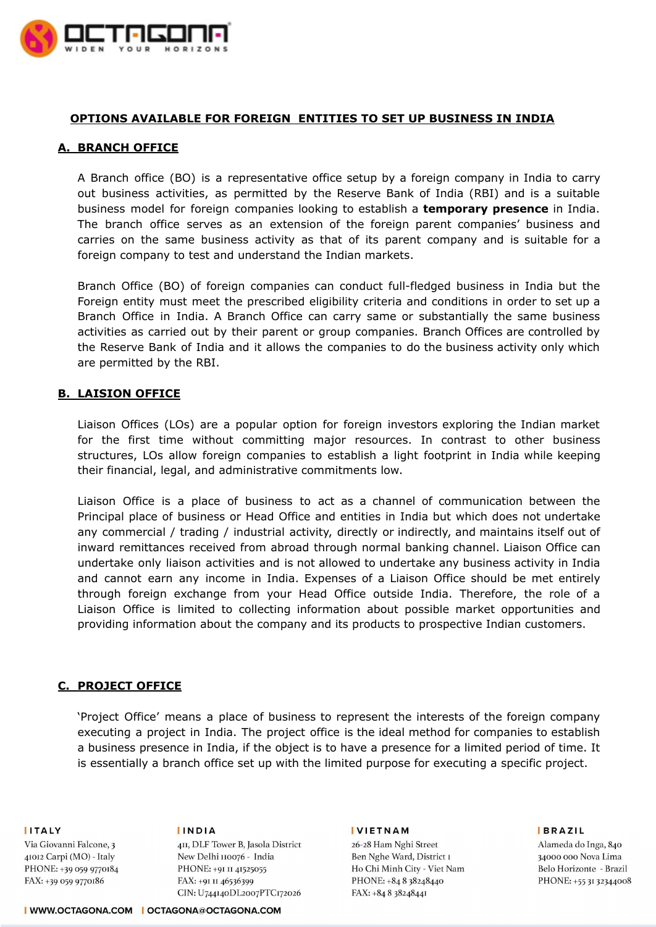

## **OPTIONS AVAILABLE FOR FOREIGN ENTITIES TO SET UP BUSINESS IN INDIA**

## **A. BRANCH OFFICE**

A Branch office (BO) is a representative office setup by a foreign company in India to carry out business activities, as permitted by the Reserve Bank of India (RBI) and is a suitable business model for foreign companies looking to establish a **temporary presence** in India. The branch office serves as an extension of the foreign parent companies' business and carries on the same business activity as that of its parent company and is suitable for a foreign company to test and understand the Indian markets.

Branch Office (BO) of foreign companies can conduct full-fledged business in India but the Foreign entity must meet the prescribed eligibility criteria and conditions in order to set up a Branch Office in India. A Branch Office can carry same or substantially the same business activities as carried out by their parent or group companies. Branch Offices are controlled by the Reserve Bank of India and it allows the companies to do the business activity only which are permitted by the RBI.

## **B. LAISION OFFICE**

Liaison Offices (LOs) are a popular option for foreign investors exploring the Indian market for the first time without committing major resources. In contrast to other business structures, LOs allow foreign companies to establish a light footprint in India while keeping their financial, legal, and administrative commitments low.

Liaison Office is a place of business to act as a channel of communication between the Principal place of business or Head Office and entities in India but which does not undertake any commercial / trading / industrial activity, directly or indirectly, and maintains itself out of inward remittances received from abroad through normal banking channel. Liaison Office can undertake only liaison activities and is not allowed to undertake any business activity in India and cannot earn any income in India. Expenses of a Liaison Office should be met entirely through foreign exchange from your Head Office outside India. Therefore, the role of a Liaison Office is limited to collecting information about possible market opportunities and providing information about the company and its products to prospective Indian customers.

## **C. PROJECT OFFICE**

'Project Office' means a place of business to represent the interests of the foreign company executing a project in India. The project office is the ideal method for companies to establish a business presence in India, if the object is to have a presence for a limited period of time. It is essentially a branch office set up with the limited purpose for executing a specific project.

**IITALY** 

Via Giovanni Falcone, 3 41012 Carpi (MO) - Italy PHONE: +39 059 9770184 FAX: +39 059 9770186

**IINDIA** 

4II, DLF Tower B, Jasola District New Delhi 110076 - India PHONE: +91 II 41525055 FAX: +91 II 46536399 CIN: U744140DL2007PTC172026

#### **IVIETNAM**

 $\,$  26-28 Ham Nghi Street Ben Nghe Ward, District I Ho Chi Minh City - Viet Nam PHONE: +84 8 38248440 FAX: +84 8 38248441

**BRAZIL** 

Alameda do Inga, 840 34000 000 Nova Lima Belo Horizonte - Brazil PHONE: +55 31 32344008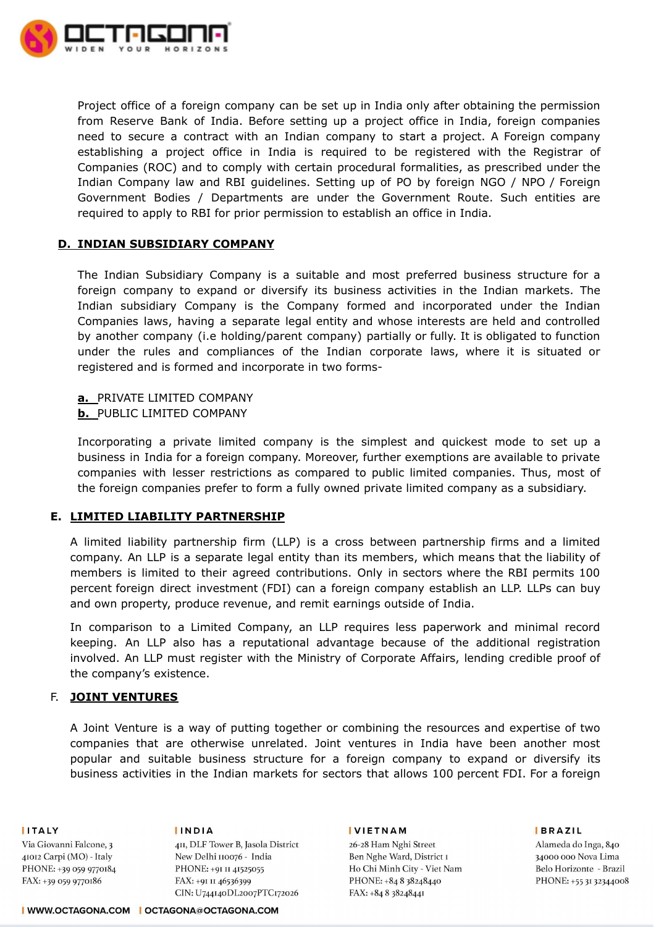

Project office of a foreign company can be set up in India only after obtaining the permission from Reserve Bank of India. Before setting up a project office in India, foreign companies need to secure a contract with an Indian company to start a project. A Foreign company establishing a project office in India is required to be registered with the Registrar of Companies (ROC) and to comply with certain procedural formalities, as prescribed under the Indian Company law and RBI guidelines. Setting up of PO by foreign NGO / NPO / Foreign Government Bodies / Departments are under the Government Route. Such entities are required to apply to RBI for prior permission to establish an office in India.

## **D. INDIAN SUBSIDIARY COMPANY**

The Indian Subsidiary Company is a suitable and most preferred business structure for a foreign company to expand or diversify its business activities in the Indian markets. The Indian subsidiary Company is the Company formed and incorporated under the Indian Companies laws, having a separate legal entity and whose interests are held and controlled by another company (i.e holding/parent company) partially or fully. It is obligated to function under the rules and compliances of the Indian corporate laws, where it is situated or registered and is formed and incorporate in two forms-

# **a.** PRIVATE LIMITED COMPANY

## **b.** PUBLIC LIMITED COMPANY

Incorporating a private limited company is the simplest and quickest mode to set up a business in India for a foreign company. Moreover, further exemptions are available to private companies with lesser restrictions as compared to public limited companies. Thus, most of the foreign companies prefer to form a fully owned private limited company as a subsidiary.

# **E. LIMITED LIABILITY PARTNERSHIP**

A limited liability partnership firm (LLP) is a cross between partnership firms and a limited company. An LLP is a separate legal entity than its members, which means that the liability of members is limited to their agreed contributions. Only in sectors where the RBI permits 100 percent foreign direct investment (FDI) can a foreign company establish an LLP. LLPs can buy and own property, produce revenue, and remit earnings outside of India.

In comparison to a Limited Company, an LLP requires less paperwork and minimal record keeping. An LLP also has a reputational advantage because of the additional registration involved. An LLP must register with the Ministry of Corporate Affairs, lending credible proof of the company's existence.

## F. **JOINT VENTURES**

A Joint Venture is a way of putting together or combining the resources and expertise of two companies that are otherwise unrelated. Joint ventures in India have been another most popular and suitable business structure for a foreign company to expand or diversify its business activities in the Indian markets for sectors that allows 100 percent FDI. For a foreign

**IITALY** 

**IINDIA** 

Via Giovanni Falcone, 3 41012 Carpi (MO) - Italy PHONE: +39 059 9770184 FAX: +39 059 9770186

4II, DLF Tower B, Jasola District New Delhi 110076 - India PHONE: +91 II 41525055 FAX: +91 II 46536399 CIN: U744140DL2007PTC172026

#### **IVIETNAM**

26-28 Ham Nghi Street Ben Nghe Ward, District I Ho Chi Minh City - Viet Nam PHONE: +84 8 38248440 FAX: +84 8 38248441

**BRAZIL** 

Alameda do Inga, 840 34000 000 Nova Lima Belo Horizonte - Brazil PHONE: +55 31 32344008